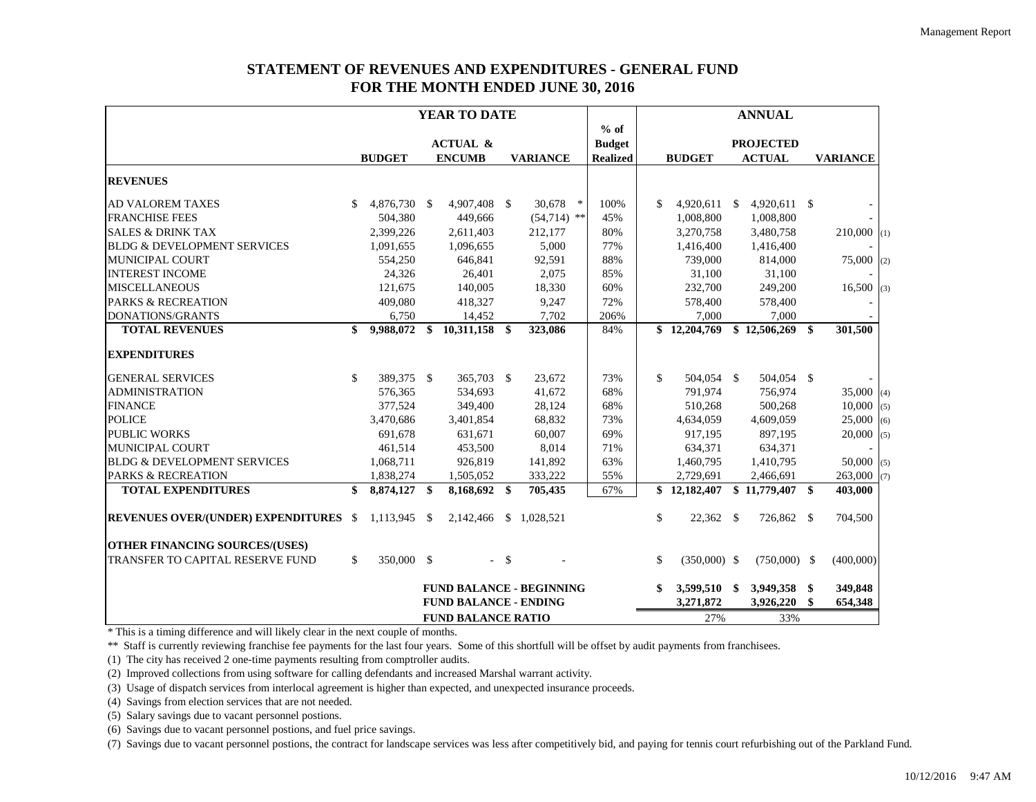## **STATEMENT OF REVENUES AND EXPENDITURES - GENERAL FUND FOR THE MONTH ENDED JUNE 30, 2016**

|                                              |                           |               |              | YEAR TO DATE                 |        |                                 |                 |              |                |    | <b>ANNUAL</b>    |      |                 |  |
|----------------------------------------------|---------------------------|---------------|--------------|------------------------------|--------|---------------------------------|-----------------|--------------|----------------|----|------------------|------|-----------------|--|
|                                              |                           |               |              |                              |        |                                 | $%$ of          |              |                |    |                  |      |                 |  |
|                                              |                           |               |              | <b>ACTUAL &amp;</b>          |        |                                 | <b>Budget</b>   |              |                |    | <b>PROJECTED</b> |      |                 |  |
|                                              |                           | <b>BUDGET</b> |              | <b>ENCUMB</b>                |        | <b>VARIANCE</b>                 | <b>Realized</b> |              | <b>BUDGET</b>  |    | <b>ACTUAL</b>    |      | <b>VARIANCE</b> |  |
| <b>REVENUES</b>                              |                           |               |              |                              |        |                                 |                 |              |                |    |                  |      |                 |  |
| <b>AD VALOREM TAXES</b>                      | S                         | 4,876,730     | <sup>S</sup> | 4,907,408 \$                 |        | 30,678<br>$\ast$                | 100%            | \$.          | 4,920,611      | S. | $4,920,611$ \$   |      |                 |  |
| <b>FRANCHISE FEES</b>                        |                           | 504,380       |              | 449,666                      |        | $(54,714)$ **                   | 45%             |              | 1,008,800      |    | 1,008,800        |      |                 |  |
| <b>SALES &amp; DRINK TAX</b>                 |                           | 2,399,226     |              | 2,611,403                    |        | 212,177                         | 80%             |              | 3,270,758      |    | 3,480,758        |      | $210,000$ (1)   |  |
| <b>BLDG &amp; DEVELOPMENT SERVICES</b>       |                           | 1,091,655     |              | 1,096,655                    |        | 5,000                           | 77%             |              | 1,416,400      |    | 1,416,400        |      |                 |  |
| MUNICIPAL COURT                              |                           | 554,250       |              | 646,841                      |        | 92,591                          | 88%             |              | 739,000        |    | 814,000          |      | $75,000$ (2)    |  |
| <b>INTEREST INCOME</b>                       |                           | 24,326        |              | 26,401                       |        | 2,075                           | 85%             |              | 31,100         |    | 31,100           |      |                 |  |
| <b>MISCELLANEOUS</b>                         |                           | 121,675       |              | 140,005                      |        | 18,330                          | 60%             |              | 232,700        |    | 249,200          |      | $16,500$ (3)    |  |
| <b>PARKS &amp; RECREATION</b>                |                           | 409,080       |              | 418,327                      |        | 9,247                           | 72%             |              | 578,400        |    | 578,400          |      |                 |  |
| DONATIONS/GRANTS                             |                           | 6,750         |              | 14,452                       |        | 7,702                           | 206%            |              | 7,000          |    | 7,000            |      |                 |  |
| <b>TOTAL REVENUES</b>                        | \$                        | 9,988,072     | \$           | $10,311,158$ \$              |        | 323,086                         | 84%             |              | \$12,204,769   |    | \$12,506,269     | \$   | 301,500         |  |
| <b>EXPENDITURES</b>                          |                           |               |              |                              |        |                                 |                 |              |                |    |                  |      |                 |  |
| <b>GENERAL SERVICES</b>                      | \$                        | 389,375 \$    |              | 365,703 \$                   |        | 23,672                          | 73%             | \$           | 504,054 \$     |    | 504,054 \$       |      |                 |  |
| <b>ADMINISTRATION</b>                        |                           | 576,365       |              | 534,693                      |        | 41,672                          | 68%             |              | 791.974        |    | 756,974          |      | $35,000$ (4)    |  |
| <b>FINANCE</b>                               |                           | 377,524       |              | 349,400                      |        | 28,124                          | 68%             |              | 510,268        |    | 500,268          |      | $10,000$ (5)    |  |
| <b>POLICE</b>                                |                           | 3,470,686     |              | 3,401,854                    |        | 68,832                          | 73%             |              | 4,634,059      |    | 4,609,059        |      | $25,000$ (6)    |  |
| <b>PUBLIC WORKS</b>                          |                           | 691,678       |              | 631,671                      |        | 60,007                          | 69%             |              | 917,195        |    | 897,195          |      | $20,000$ (5)    |  |
| MUNICIPAL COURT                              |                           | 461,514       |              | 453,500                      |        | 8,014                           | 71%             |              | 634,371        |    | 634,371          |      |                 |  |
| <b>BLDG &amp; DEVELOPMENT SERVICES</b>       |                           | 1,068,711     |              | 926,819                      |        | 141,892                         | 63%             |              | 1,460,795      |    | 1,410,795        |      | $50,000$ (5)    |  |
| <b>PARKS &amp; RECREATION</b>                |                           | 1,838,274     |              | 1,505,052                    |        | 333,222                         | 55%             |              | 2,729,691      |    | 2,466,691        |      | $263,000$ (7)   |  |
| <b>TOTAL EXPENDITURES</b>                    | \$                        | 8,874,127 \$  |              | 8,168,692 \$                 |        | 705,435                         | 67%             |              | \$12,182,407   |    | $$11,779,407$ \; |      | 403,000         |  |
| <b>REVENUES OVER/(UNDER) EXPENDITURES \$</b> |                           | 1,113,945 \$  |              |                              |        | 2,142,466 \$ 1,028,521          |                 | \$           | 22,362 \$      |    | 726,862 \$       |      | 704,500         |  |
| <b>OTHER FINANCING SOURCES/(USES)</b>        |                           |               |              |                              |        |                                 |                 |              |                |    |                  |      |                 |  |
| TRANSFER TO CAPITAL RESERVE FUND             | \$                        | 350,000 \$    |              |                              | $-$ \$ |                                 |                 | $\mathbf{s}$ | $(350,000)$ \$ |    | $(750,000)$ \$   |      | (400,000)       |  |
|                                              |                           |               |              |                              |        | <b>FUND BALANCE - BEGINNING</b> |                 | \$           | 3,599,510      | \$ | 3,949,358        | - \$ | 349,848         |  |
|                                              |                           |               |              | <b>FUND BALANCE - ENDING</b> |        |                                 |                 |              | 3,271,872      |    | 3,926,220        | \$   | 654,348         |  |
|                                              | <b>FUND BALANCE RATIO</b> |               |              |                              |        |                                 |                 |              | 27%            |    | 33%              |      |                 |  |

\* This is a timing difference and will likely clear in the next couple of months.

\*\* Staff is currently reviewing franchise fee payments for the last four years. Some of this shortfull will be offset by audit payments from franchisees.

(1) The city has received 2 one-time payments resulting from comptroller audits.

(2) Improved collections from using software for calling defendants and increased Marshal warrant activity.

(3) Usage of dispatch services from interlocal agreement is higher than expected, and unexpected insurance proceeds.

(4) Savings from election services that are not needed.

(5) Salary savings due to vacant personnel postions.

(6) Savings due to vacant personnel postions, and fuel price savings.

(7) Savings due to vacant personnel postions, the contract for landscape services was less after competitively bid, and paying for tennis court refurbishing out of the Parkland Fund.